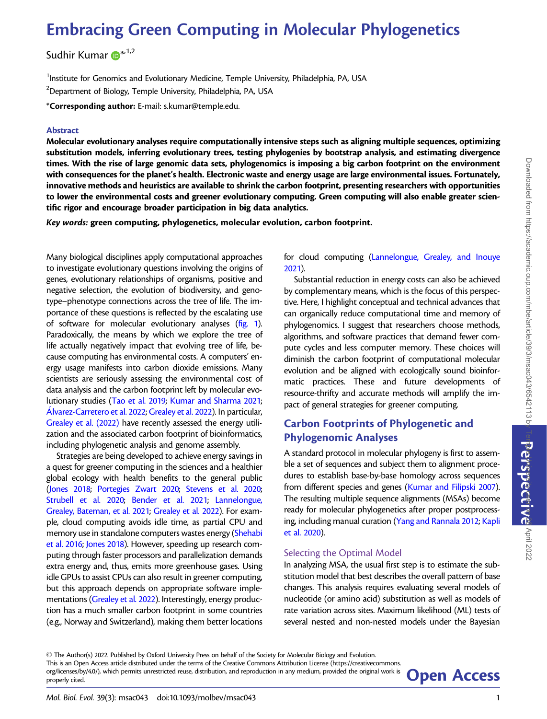# Embracing Green Computing in Molecular Phylogenetics

Sudhir Kumar (D<sup>[\\*](https://orcid.org/0000-0002-9918-8212),1,2</sup>

<sup>1</sup>Institute for Genomics and Evolutionary Medicine, Temple University, Philadelphia, PA, USA  $^{2}$ Department of Biology, Temple University, Philadelphia, PA, USA

\*Corresponding author: E-mail: s.kumar@temple.edu.

#### Abstract

Molecular evolutionary analyses require computationally intensive steps such as aligning multiple sequences, optimizing substitution models, inferring evolutionary trees, testing phylogenies by bootstrap analysis, and estimating divergence times. With the rise of large genomic data sets, phylogenomics is imposing a big carbon footprint on the environment with consequences for the planet's health. Electronic waste and energy usage are large environmental issues. Fortunately, innovative methods and heuristics are available to shrink the carbon footprint, presenting researchers with opportunities to lower the environmental costs and greener evolutionary computing. Green computing will also enable greater scientific rigor and encourage broader participation in big data analytics.

Key words: green computing, phylogenetics, molecular evolution, carbon footprint.

Many biological disciplines apply computational approaches to investigate evolutionary questions involving the origins of genes, evolutionary relationships of organisms, positive and negative selection, the evolution of biodiversity, and genotype–phenotype connections across the tree of life. The importance of these questions is reflected by the escalating use of software for molecular evolutionary analyses [\(fig. 1\)](#page-1-0). Paradoxically, the means by which we explore the tree of life actually negatively impact that evolving tree of life, because computing has environmental costs. A computers' energy usage manifests into carbon dioxide emissions. Many scientists are seriously assessing the environmental cost of data analysis and the carbon footprint left by molecular evolutionary studies ([Tao et al. 2019](#page-3-0); [Kumar and Sharma 2021;](#page-3-0) Álvarez-Carretero et al. 2022; [Grealey et al. 2022\)](#page-3-0). In particular, [Grealey et al. \(2022\)](#page-3-0) have recently assessed the energy utilization and the associated carbon footprint of bioinformatics, including phylogenetic analysis and genome assembly.

Strategies are being developed to achieve energy savings in a quest for greener computing in the sciences and a healthier global ecology with health benefits to the general public ([Jones 2018](#page-3-0); [Portegies Zwart 2020;](#page-3-0) [Stevens et al. 2020;](#page-3-0) [Strubell et al. 2020;](#page-3-0) [Bender et al. 2021;](#page-3-0) [Lannelongue,](#page-3-0) [Grealey, Bateman, et al. 2021;](#page-3-0) [Grealey et al. 2022\)](#page-3-0). For example, cloud computing avoids idle time, as partial CPU and memory use in standalone computers wastes energy [\(Shehabi](#page-3-0) [et al. 2016;](#page-3-0) [Jones 2018](#page-3-0)). However, speeding up research computing through faster processors and parallelization demands extra energy and, thus, emits more greenhouse gases. Using idle GPUs to assist CPUs can also result in greener computing, but this approach depends on appropriate software implementations [\(Grealey et al. 2022](#page-3-0)). Interestingly, energy production has a much smaller carbon footprint in some countries (e.g., Norway and Switzerland), making them better locations for cloud computing ([Lannelongue, Grealey, and Inouye](#page-3-0) [2021\)](#page-3-0).

Substantial reduction in energy costs can also be achieved by complementary means, which is the focus of this perspective. Here, I highlight conceptual and technical advances that can organically reduce computational time and memory of phylogenomics. I suggest that researchers choose methods, algorithms, and software practices that demand fewer compute cycles and less computer memory. These choices will diminish the carbon footprint of computational molecular evolution and be aligned with ecologically sound bioinformatic practices. These and future developments of resource-thrifty and accurate methods will amplify the impact of general strategies for greener computing.

# Carbon Footprints of Phylogenetic and Phylogenomic Analyses

A standard protocol in molecular phylogeny is first to assemble a set of sequences and subject them to alignment procedures to establish base-by-base homology across sequences from different species and genes [\(Kumar and Filipski](#page-3-0) 2007). The resulting multiple sequence alignments (MSAs) become ready for molecular phylogenetics after proper postprocessing, including manual curation [\(Yang and Rannala 2012](#page-3-0); [Kapli](#page-3-0) [et al. 2020](#page-3-0)).

## Selecting the Optimal Model

In analyzing MSA, the usual first step is to estimate the substitution model that best describes the overall pattern of base changes. This analysis requires evaluating several models of nucleotide (or amino acid) substitution as well as models of rate variation across sites. Maximum likelihood (ML) tests of several nested and non-nested models under the Bayesian

- The Author(s) 2022. Published by Oxford University Press on behalf of the Society for Molecular Biology and Evolution. This is an Open Access article distributed under the terms of the Creative Commons Attribution License (https://creativecommons. org/licenses/by/4.0/), which permits unrestricted reuse, distribution, and reproduction in any medium, provided the original work is **Open Access**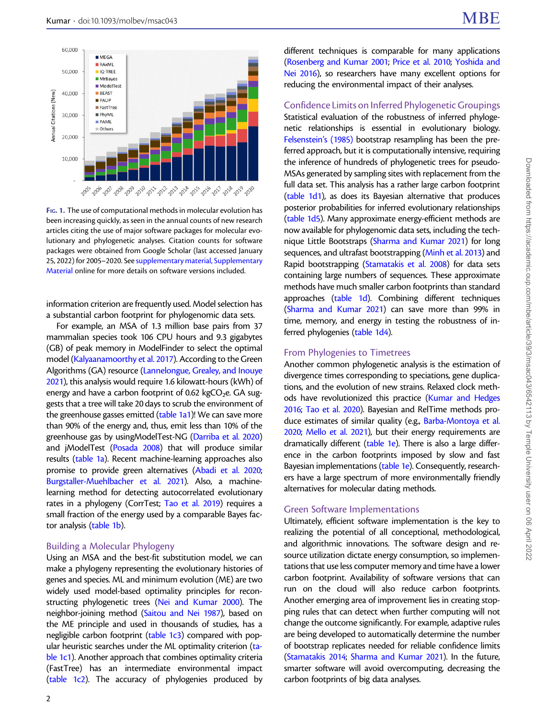<span id="page-1-0"></span>

FIG. 1. The use of computational methods in molecular evolution has been increasing quickly, as seen in the annual counts of new research articles citing the use of major software packages for molecular evolutionary and phylogenetic analyses. Citation counts for software packages were obtained from Google Scholar (last accessed January 25, 2022) for 2005–2020. See [supplementary material, Supplementary](https://academic.oup.com/mbe/article-lookup/doi/10.1093/molbev/msac043#supplementary-data) [Material](https://academic.oup.com/mbe/article-lookup/doi/10.1093/molbev/msac043#supplementary-data) online for more details on software versions included.

information criterion are frequently used. Model selection has a substantial carbon footprint for phylogenomic data sets.

For example, an MSA of 1.3 million base pairs from 37 mammalian species took 106 CPU hours and 9.3 gigabytes (GB) of peak memory in ModelFinder to select the optimal model [\(Kalyaanamoorthy et al. 2017\)](#page-3-0). According to the Green Algorithms (GA) resource [\(Lannelongue, Grealey, and Inouye](#page-3-0) [2021\)](#page-3-0), this analysis would require 1.6 kilowatt-hours (kWh) of energy and have a carbon footprint of 0.62 kgCO<sub>2</sub>e. GA suggests that a tree will take 20 days to scrub the environment of the greenhouse gasses emitted [\(table 1a1\)](#page-2-0)! We can save more than 90% of the energy and, thus, emit less than 10% of the greenhouse gas by usingModelTest-NG [\(Darriba et al. 2020](#page-3-0)) and jModelTest [\(Posada 2008\)](#page-3-0) that will produce similar results [\(table 1a](#page-2-0)). Recent machine-learning approaches also promise to provide green alternatives [\(Abadi et al. 2020;](#page-3-0) [Burgstaller-Muehlbacher et al. 2021](#page-3-0)). Also, a machinelearning method for detecting autocorrelated evolutionary rates in a phylogeny (CorrTest; [Tao et al. 2019\)](#page-3-0) requires a small fraction of the energy used by a comparable Bayes factor analysis [\(table 1b\)](#page-2-0).

#### Building a Molecular Phylogeny

Using an MSA and the best-fit substitution model, we can make a phylogeny representing the evolutionary histories of genes and species. ML and minimum evolution (ME) are two widely used model-based optimality principles for reconstructing phylogenetic trees ([Nei and Kumar 2000\)](#page-3-0). The neighbor-joining method ([Saitou and Nei 1987\)](#page-3-0), based on the ME principle and used in thousands of studies, has a negligible carbon footprint ([table 1c3](#page-2-0)) compared with popular heuristic searches under the ML optimality criterion [\(ta](#page-2-0)[ble 1c1\)](#page-2-0). Another approach that combines optimality criteria (FastTree) has an intermediate environmental impact ([table 1c2\)](#page-2-0). The accuracy of phylogenies produced by different techniques is comparable for many applications [\(Rosenberg and Kumar 2001;](#page-3-0) [Price et al. 2010;](#page-3-0) [Yoshida and](#page-3-0) [Nei 2016\)](#page-3-0), so researchers have many excellent options for reducing the environmental impact of their analyses.

### Confidence Limits on Inferred Phylogenetic Groupings

Statistical evaluation of the robustness of inferred phylogenetic relationships is essential in evolutionary biology. [Felsenstein's \(1985\)](#page-3-0) bootstrap resampling has been the preferred approach, but it is computationally intensive, requiring the inference of hundreds of phylogenetic trees for pseudo-MSAs generated by sampling sites with replacement from the full data set. This analysis has a rather large carbon footprint [\(table 1d1](#page-2-0)), as does its Bayesian alternative that produces posterior probabilities for inferred evolutionary relationships [\(table 1d5\)](#page-2-0). Many approximate energy-efficient methods are now available for phylogenomic data sets, including the technique Little Bootstraps [\(Sharma and Kumar 2021](#page-3-0)) for long sequences, and ultrafast bootstrapping [\(Minh et al. 2013](#page-3-0)) and Rapid bootstrapping [\(Stamatakis et al. 2008](#page-3-0)) for data sets containing large numbers of sequences. These approximate methods have much smaller carbon footprints than standard approaches [\(table 1d\)](#page-2-0). Combining different techniques [\(Sharma and Kumar 2021](#page-3-0)) can save more than 99% in time, memory, and energy in testing the robustness of in-ferred phylogenies [\(table 1d4\)](#page-2-0).

#### From Phylogenies to Timetrees

Another common phylogenetic analysis is the estimation of divergence times corresponding to speciations, gene duplications, and the evolution of new strains. Relaxed clock methods have revolutionized this practice [\(Kumar and Hedges](#page-3-0) [2016;](#page-3-0) [Tao et al. 2020](#page-3-0)). Bayesian and RelTime methods produce estimates of similar quality (e.g., [Barba-Montoya et al.](#page-3-0) [2020;](#page-3-0) [Mello et al. 2021](#page-3-0)), but their energy requirements are dramatically different [\(table 1e\)](#page-2-0). There is also a large difference in the carbon footprints imposed by slow and fast Bayesian implementations ([table 1e\)](#page-2-0). Consequently, researchers have a large spectrum of more environmentally friendly alternatives for molecular dating methods.

#### Green Software Implementations

Ultimately, efficient software implementation is the key to realizing the potential of all conceptional, methodological, and algorithmic innovations. The software design and resource utilization dictate energy consumption, so implementations that use less computer memory and time have a lower carbon footprint. Availability of software versions that can run on the cloud will also reduce carbon footprints. Another emerging area of improvement lies in creating stopping rules that can detect when further computing will not change the outcome significantly. For example, adaptive rules are being developed to automatically determine the number of bootstrap replicates needed for reliable confidence limits [\(Stamatakis 2014](#page-3-0); [Sharma and Kumar 2021](#page-3-0)). In the future, smarter software will avoid overcomputing, decreasing the carbon footprints of big data analyses.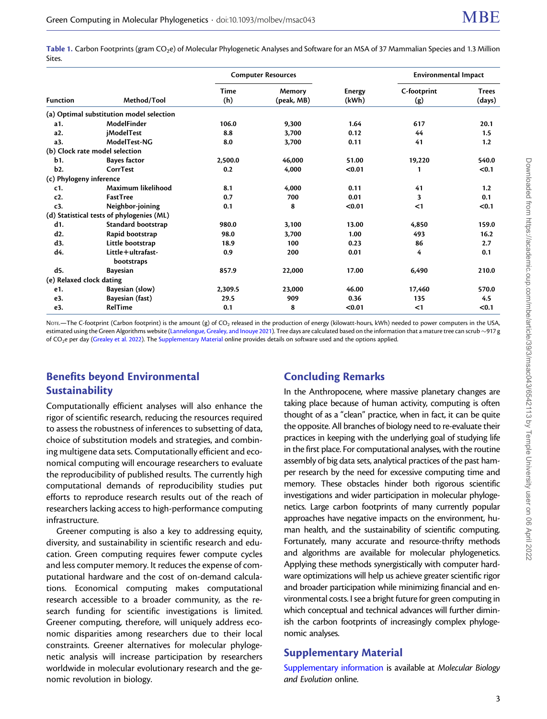<span id="page-2-0"></span>Table 1. Carbon Footprints (gram CO<sub>2</sub>e) of Molecular Phylogenetic Analyses and Software for an MSA of 37 Mammalian Species and 1.3 Million Sites.

| <b>Function</b>          | Method/Tool                               | <b>Computer Resources</b> |                      |                        | <b>Environmental Impact</b> |                        |
|--------------------------|-------------------------------------------|---------------------------|----------------------|------------------------|-----------------------------|------------------------|
|                          |                                           | <b>Time</b><br>(h)        | Memory<br>(peak, MB) | <b>Energy</b><br>(kWh) | C-footprint<br>(g)          | <b>Trees</b><br>(days) |
|                          | (a) Optimal substitution model selection  |                           |                      |                        |                             |                        |
| a1.                      | ModelFinder                               | 106.0                     | 9.300                | 1.64                   | 617                         | 20.1                   |
| a2.                      | <i>iModelTest</i>                         | 8.8                       | 3.700                | 0.12                   | 44                          | 1.5                    |
| a3.                      | ModelTest-NG                              | 8.0                       | 3,700                | 0.11                   | 41                          | 1.2                    |
|                          | (b) Clock rate model selection            |                           |                      |                        |                             |                        |
| b1.                      | <b>Bayes factor</b>                       | 2,500.0                   | 46,000               | 51.00                  | 19,220                      | 540.0                  |
| b <sub>2</sub> .         | CorrTest                                  | 0.2                       | 4,000                | < 0.01                 | 1                           | < 0.1                  |
| (c) Phylogeny inference  |                                           |                           |                      |                        |                             |                        |
| c1.                      | Maximum likelihood                        | 8.1                       | 4.000                | 0.11                   | 41                          | 1.2                    |
| c2.                      | <b>FastTree</b>                           | 0.7                       | 700                  | 0.01                   | 3                           | 0.1                    |
| c3.                      | Neighbor-joining                          | 0.1                       | 8                    | < 0.01                 | $<$ 1                       | < 0.1                  |
|                          | (d) Statistical tests of phylogenies (ML) |                           |                      |                        |                             |                        |
| d1.                      | Standard bootstrap                        | 980.0                     | 3,100                | 13.00                  | 4,850                       | 159.0                  |
| d2.                      | Rapid bootstrap                           | 98.0                      | 3.700                | 1.00                   | 493                         | 16.2                   |
| d3.                      | Little bootstrap                          | 18.9                      | 100                  | 0.23                   | 86                          | 2.7                    |
| d4.                      | Little + ultrafast-<br>bootstraps         | 0.9                       | 200                  | 0.01                   | 4                           | 0.1                    |
| d5.                      | <b>Bayesian</b>                           | 857.9                     | 22,000               | 17.00                  | 6,490                       | 210.0                  |
| (e) Relaxed clock dating |                                           |                           |                      |                        |                             |                        |
| e1.                      | Bayesian (slow)                           | 2.309.5                   | 23,000               | 46.00                  | 17,460                      | 570.0                  |
| e3.                      | Bayesian (fast)                           | 29.5                      | 909                  | 0.36                   | 135                         | 4.5                    |
| e3.                      | RelTime                                   | 0.1                       | 8                    | < 0.01                 | <1                          | < 0.1                  |

NOTE.—The C-footprint (Carbon footprint) is the amount (g) of CO<sub>2</sub> released in the production of energy (kilowatt-hours, kWh) needed to power computers in the USA, estimated using the Green Algorithms website [\(Lannelongue, Grealey, and Inouye 2021\)](#page-3-0). Tree days are calculated based on the information that a mature tree can scrub -917 g of CO<sub>2</sub>e per day [\(Grealey et al. 2022](#page-3-0)). The [Supplementary Material](https://academic.oup.com/mbe/article-lookup/doi/10.1093/molbev/msac043#supplementary-data) online provides details on software used and the options applied.

# Benefits beyond Environmental **Sustainability**

# Concluding Remarks

Computationally efficient analyses will also enhance the rigor of scientific research, reducing the resources required to assess the robustness of inferences to subsetting of data, choice of substitution models and strategies, and combining multigene data sets. Computationally efficient and economical computing will encourage researchers to evaluate the reproducibility of published results. The currently high computational demands of reproducibility studies put efforts to reproduce research results out of the reach of researchers lacking access to high-performance computing infrastructure.

Greener computing is also a key to addressing equity, diversity, and sustainability in scientific research and education. Green computing requires fewer compute cycles and less computer memory. It reduces the expense of computational hardware and the cost of on-demand calculations. Economical computing makes computational research accessible to a broader community, as the research funding for scientific investigations is limited. Greener computing, therefore, will uniquely address economic disparities among researchers due to their local constraints. Greener alternatives for molecular phylogenetic analysis will increase participation by researchers worldwide in molecular evolutionary research and the genomic revolution in biology.

In the Anthropocene, where massive planetary changes are taking place because of human activity, computing is often thought of as a "clean" practice, when in fact, it can be quite the opposite. All branches of biology need to re-evaluate their practices in keeping with the underlying goal of studying life in the first place. For computational analyses, with the routine assembly of big data sets, analytical practices of the past hamper research by the need for excessive computing time and memory. These obstacles hinder both rigorous scientific investigations and wider participation in molecular phylogenetics. Large carbon footprints of many currently popular approaches have negative impacts on the environment, human health, and the sustainability of scientific computing. Fortunately, many accurate and resource-thrifty methods and algorithms are available for molecular phylogenetics. Applying these methods synergistically with computer hardware optimizations will help us achieve greater scientific rigor and broader participation while minimizing financial and environmental costs. I see a bright future for green computing in which conceptual and technical advances will further diminish the carbon footprints of increasingly complex phylogenomic analyses.

## Supplementary Material

[Supplementary information](https://academic.oup.com/mbe/article-lookup/doi/10.1093/molbev/msac043#supplementary-data) is available at Molecular Biology and Evolution online.